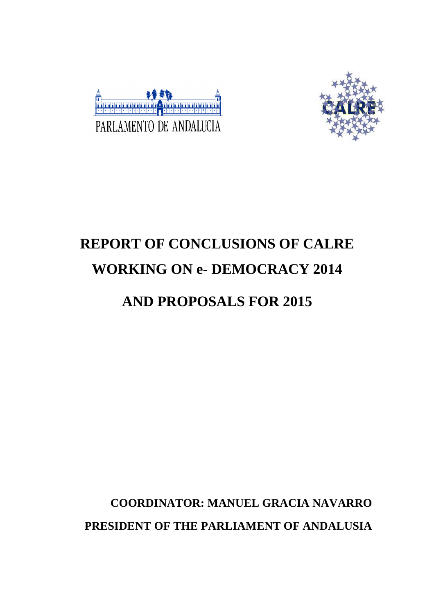



# **REPORT OF CONCLUSIONS OF CALRE WORKING ON e- DEMOCRACY 2014**

## **AND PROPOSALS FOR 2015**

## **COORDINATOR: MANUEL GRACIA NAVARRO PRESIDENT OF THE PARLIAMENT OF ANDALUSIA**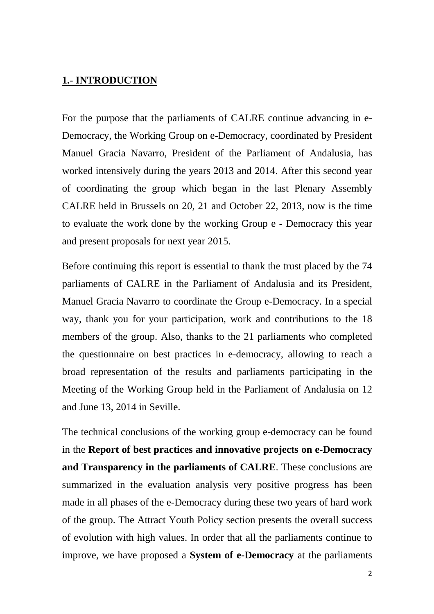#### **1.- INTRODUCTION**

For the purpose that the parliaments of CALRE continue advancing in e-Democracy, the Working Group on e-Democracy, coordinated by President Manuel Gracia Navarro, President of the Parliament of Andalusia, has worked intensively during the years 2013 and 2014. After this second year of coordinating the group which began in the last Plenary Assembly CALRE held in Brussels on 20, 21 and October 22, 2013, now is the time to evaluate the work done by the working Group e - Democracy this year and present proposals for next year 2015.

Before continuing this report is essential to thank the trust placed by the 74 parliaments of CALRE in the Parliament of Andalusia and its President, Manuel Gracia Navarro to coordinate the Group e-Democracy. In a special way, thank you for your participation, work and contributions to the 18 members of the group. Also, thanks to the 21 parliaments who completed the questionnaire on best practices in e-democracy, allowing to reach a broad representation of the results and parliaments participating in the Meeting of the Working Group held in the Parliament of Andalusia on 12 and June 13, 2014 in Seville.

The technical conclusions of the working group e-democracy can be found in the **Report of best practices and innovative projects on e-Democracy and Transparency in the parliaments of CALRE**. These conclusions are summarized in the evaluation analysis very positive progress has been made in all phases of the e-Democracy during these two years of hard work of the group. The Attract Youth Policy section presents the overall success of evolution with high values. In order that all the parliaments continue to improve, we have proposed a **System of e-Democracy** at the parliaments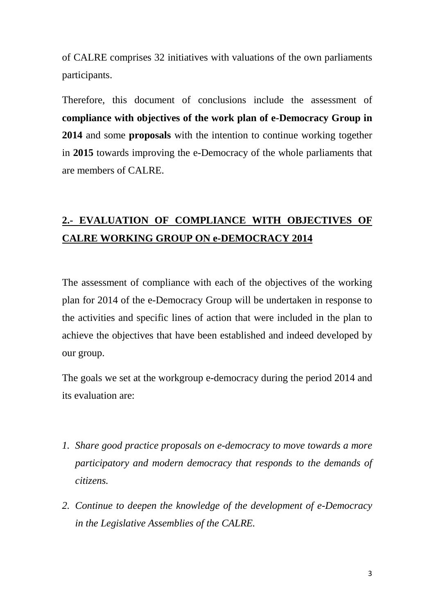of CALRE comprises 32 initiatives with valuations of the own parliaments participants.

Therefore, this document of conclusions include the assessment of **compliance with objectives of the work plan of e-Democracy Group in 2014** and some **proposals** with the intention to continue working together in **2015** towards improving the e-Democracy of the whole parliaments that are members of CALRE.

### **2.- EVALUATION OF COMPLIANCE WITH OBJECTIVES OF CALRE WORKING GROUP ON e-DEMOCRACY 2014**

The assessment of compliance with each of the objectives of the working plan for 2014 of the e-Democracy Group will be undertaken in response to the activities and specific lines of action that were included in the plan to achieve the objectives that have been established and indeed developed by our group.

The goals we set at the workgroup e-democracy during the period 2014 and its evaluation are:

- *1. Share good practice proposals on e-democracy to move towards a more participatory and modern democracy that responds to the demands of citizens.*
- *2. Continue to deepen the knowledge of the development of e-Democracy in the Legislative Assemblies of the CALRE.*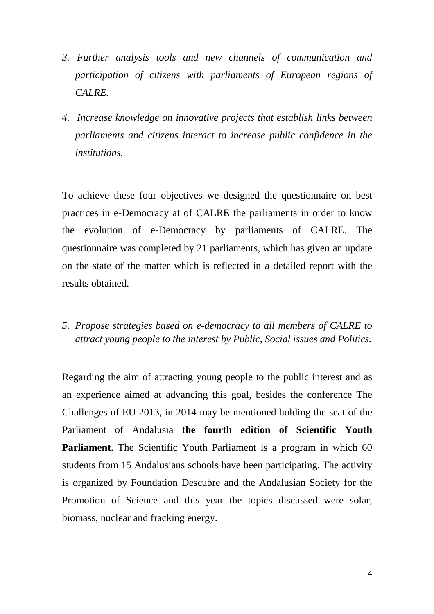- *3. Further analysis tools and new channels of communication and participation of citizens with parliaments of European regions of CALRE.*
- *4. Increase knowledge on innovative projects that establish links between parliaments and citizens interact to increase public confidence in the institutions.*

To achieve these four objectives we designed the questionnaire on best practices in e-Democracy at of CALRE the parliaments in order to know the evolution of e-Democracy by parliaments of CALRE. The questionnaire was completed by 21 parliaments, which has given an update on the state of the matter which is reflected in a detailed report with the results obtained.

*5. Propose strategies based on e-democracy to all members of CALRE to attract young people to the interest by Public, Social issues and Politics.* 

Regarding the aim of attracting young people to the public interest and as an experience aimed at advancing this goal, besides the conference The Challenges of EU 2013, in 2014 may be mentioned holding the seat of the Parliament of Andalusia **the fourth edition of Scientific Youth Parliament**. The Scientific Youth Parliament is a program in which 60 students from 15 Andalusians schools have been participating. The activity is organized by Foundation Descubre and the Andalusian Society for the Promotion of Science and this year the topics discussed were solar, biomass, nuclear and fracking energy.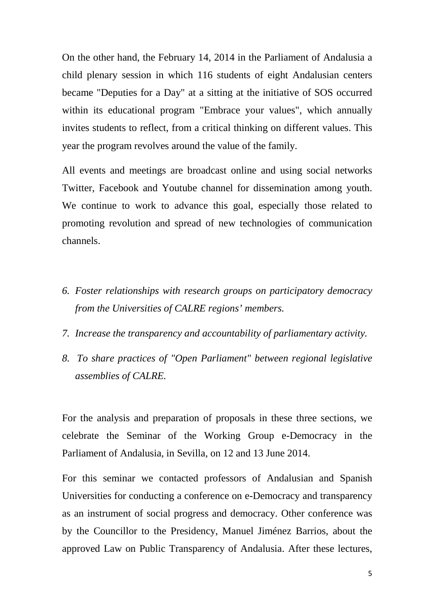On the other hand, the February 14, 2014 in the Parliament of Andalusia a child plenary session in which 116 students of eight Andalusian centers became "Deputies for a Day" at a sitting at the initiative of SOS occurred within its educational program "Embrace your values", which annually invites students to reflect, from a critical thinking on different values. This year the program revolves around the value of the family.

All events and meetings are broadcast online and using social networks Twitter, Facebook and Youtube channel for dissemination among youth. We continue to work to advance this goal, especially those related to promoting revolution and spread of new technologies of communication channels.

- *6. Foster relationships with research groups on participatory democracy from the Universities of CALRE regions' members.*
- *7. Increase the transparency and accountability of parliamentary activity.*
- *8. To share practices of "Open Parliament" between regional legislative assemblies of CALRE.*

For the analysis and preparation of proposals in these three sections, we celebrate the Seminar of the Working Group e-Democracy in the Parliament of Andalusia, in Sevilla, on 12 and 13 June 2014.

For this seminar we contacted professors of Andalusian and Spanish Universities for conducting a conference on e-Democracy and transparency as an instrument of social progress and democracy. Other conference was by the Councillor to the Presidency, Manuel Jiménez Barrios, about the approved Law on Public Transparency of Andalusia. After these lectures,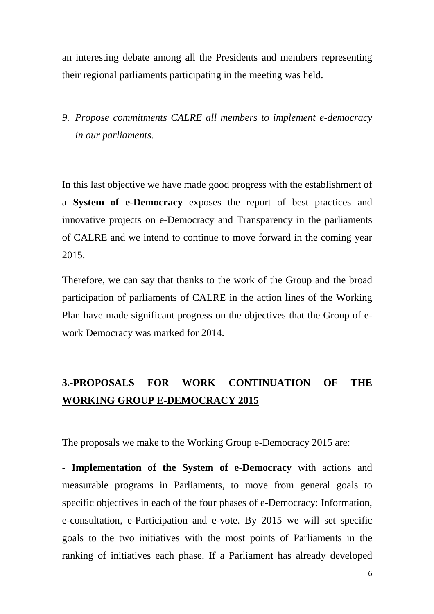an interesting debate among all the Presidents and members representing their regional parliaments participating in the meeting was held.

*9. Propose commitments CALRE all members to implement e-democracy in our parliaments.* 

In this last objective we have made good progress with the establishment of a **System of e-Democracy** exposes the report of best practices and innovative projects on e-Democracy and Transparency in the parliaments of CALRE and we intend to continue to move forward in the coming year 2015.

Therefore, we can say that thanks to the work of the Group and the broad participation of parliaments of CALRE in the action lines of the Working Plan have made significant progress on the objectives that the Group of ework Democracy was marked for 2014.

### **3.-PROPOSALS FOR WORK CONTINUATION OF THE WORKING GROUP E-DEMOCRACY 2015**

The proposals we make to the Working Group e-Democracy 2015 are:

**- Implementation of the System of e-Democracy** with actions and measurable programs in Parliaments, to move from general goals to specific objectives in each of the four phases of e-Democracy: Information, e-consultation, e-Participation and e-vote. By 2015 we will set specific goals to the two initiatives with the most points of Parliaments in the ranking of initiatives each phase. If a Parliament has already developed